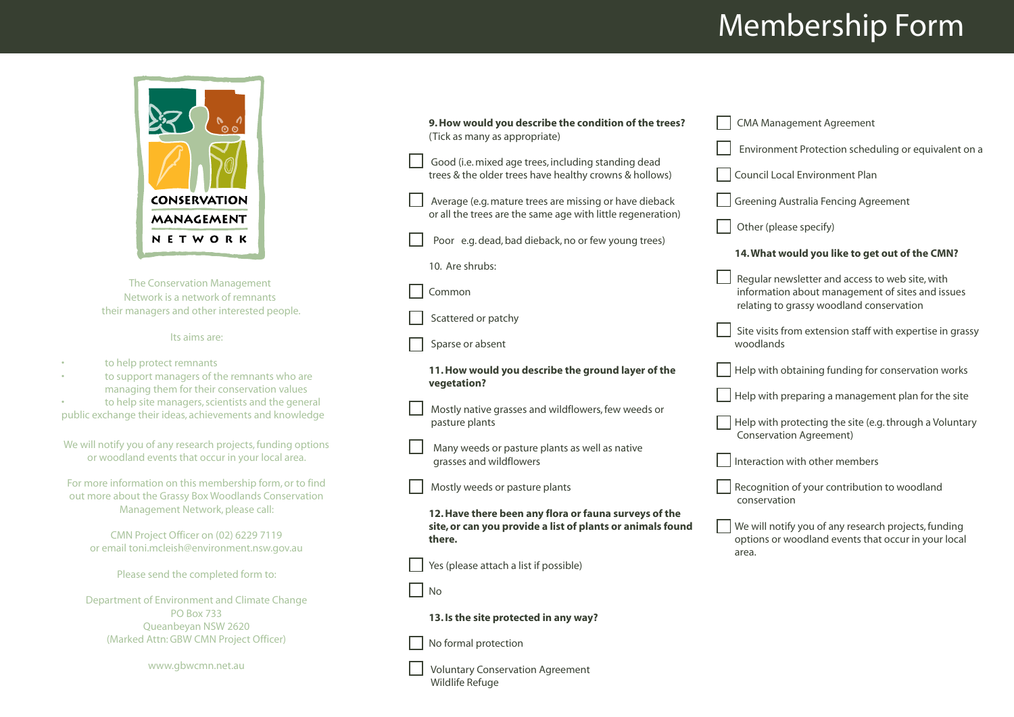## Membership Form



The Conservation Management Network is a network of remnants their managers and other interested people.

## Its aims are:

- to help protect remnants
- to support managers of the remnants who are managing them for their conservation values
- to help site managers, scientists and the general public exchange their ideas, achievements and knowledge

|  | We will notify you of any research projects, funding options |
|--|--------------------------------------------------------------|
|  | or woodland events that occur in your local area.            |

For more information on this membership form, or to find out more about the Grassy Box Woodlands Conservation Management Network, please call:

CMN Project Officer on (02) 6229 7119 or email toni.mcleish@environment.nsw.gov.au

Please send the completed form to:

Department of Environment and Climate Change PO Box 733 Queanbeyan NSW 2620 (Marked Attn: GBW CMN Project Officer)

www.gbwcmn.net.au

Wildlife Refuge

| 9. How would you describe the condition of the trees?<br>(Tick as many as appropriate)                                        | <b>CMA Management Agreement</b><br>Environment Protection scheduling or equivalent on a                                                         |
|-------------------------------------------------------------------------------------------------------------------------------|-------------------------------------------------------------------------------------------------------------------------------------------------|
| Good (i.e. mixed age trees, including standing dead<br>trees & the older trees have healthy crowns & hollows)                 | Council Local Environment Plan                                                                                                                  |
| Average (e.g. mature trees are missing or have dieback<br>or all the trees are the same age with little regeneration)         | <b>Greening Australia Fencing Agreement</b><br>Other (please specify)                                                                           |
| Poor e.g. dead, bad dieback, no or few young trees)<br>10. Are shrubs:                                                        | 14. What would you like to get out of the CMN?                                                                                                  |
| Common                                                                                                                        | Regular newsletter and access to web site, with<br>information about management of sites and issues<br>relating to grassy woodland conservation |
| Scattered or patchy<br>Sparse or absent                                                                                       | Site visits from extension staff with expertise in grassy<br>woodlands                                                                          |
| 11. How would you describe the ground layer of the<br>vegetation?                                                             | Help with obtaining funding for conservation works                                                                                              |
| Mostly native grasses and wildflowers, few weeds or<br>pasture plants                                                         | Help with preparing a management plan for the site<br>Help with protecting the site (e.g. through a Voluntary<br><b>Conservation Agreement)</b> |
| Many weeds or pasture plants as well as native<br>grasses and wildflowers                                                     | Interaction with other members                                                                                                                  |
| Mostly weeds or pasture plants                                                                                                | Recognition of your contribution to woodland<br>conservation                                                                                    |
| 12. Have there been any flora or fauna surveys of the<br>site, or can you provide a list of plants or animals found<br>there. | We will notify you of any research projects, funding<br>options or woodland events that occur in your local<br>area.                            |
| Yes (please attach a list if possible)                                                                                        |                                                                                                                                                 |
| <b>No</b>                                                                                                                     |                                                                                                                                                 |
| 13. Is the site protected in any way?                                                                                         |                                                                                                                                                 |
| No formal protection                                                                                                          |                                                                                                                                                 |
| <b>Voluntary Conservation Agreement</b>                                                                                       |                                                                                                                                                 |